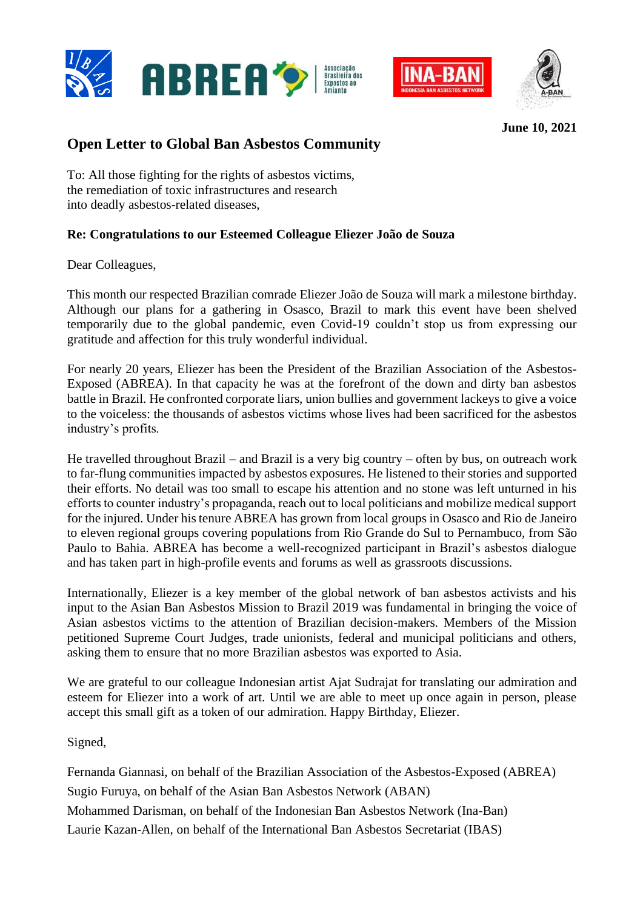





**June 10, 2021**

## **Open Letter to Global Ban Asbestos Community**

To: All those fighting for the rights of asbestos victims, the remediation of toxic infrastructures and research into deadly asbestos-related diseases,

## **Re: Congratulations to our Esteemed Colleague Eliezer João de Souza**

Dear Colleagues,

This month our respected Brazilian comrade Eliezer João de Souza will mark a milestone birthday. Although our plans for a gathering in Osasco, Brazil to mark this event have been shelved temporarily due to the global pandemic, even Covid-19 couldn't stop us from expressing our gratitude and affection for this truly wonderful individual.

For nearly 20 years, Eliezer has been the President of the Brazilian Association of the Asbestos-Exposed (ABREA). In that capacity he was at the forefront of the down and dirty ban asbestos battle in Brazil. He confronted corporate liars, union bullies and government lackeys to give a voice to the voiceless: the thousands of asbestos victims whose lives had been sacrificed for the asbestos industry's profits.

He travelled throughout Brazil – and Brazil is a very big country – often by bus, on outreach work to far-flung communities impacted by asbestos exposures. He listened to their stories and supported their efforts. No detail was too small to escape his attention and no stone was left unturned in his efforts to counter industry's propaganda, reach out to local politicians and mobilize medical support for the injured. Under his tenure ABREA has grown from local groups in Osasco and Rio de Janeiro to eleven regional groups covering populations from Rio Grande do Sul to Pernambuco, from São Paulo to Bahia. ABREA has become a well-recognized participant in Brazil's asbestos dialogue and has taken part in high-profile events and forums as well as grassroots discussions.

Internationally, Eliezer is a key member of the global network of ban asbestos activists and his input to the Asian Ban Asbestos Mission to Brazil 2019 was fundamental in bringing the voice of Asian asbestos victims to the attention of Brazilian decision-makers. Members of the Mission petitioned Supreme Court Judges, trade unionists, federal and municipal politicians and others, asking them to ensure that no more Brazilian asbestos was exported to Asia.

We are grateful to our colleague Indonesian artist Ajat Sudrajat for translating our admiration and esteem for Eliezer into a work of art. Until we are able to meet up once again in person, please accept this small gift as a token of our admiration. Happy Birthday, Eliezer.

Signed,

Fernanda Giannasi, on behalf of the Brazilian Association of the Asbestos-Exposed (ABREA) Sugio Furuya, on behalf of the Asian Ban Asbestos Network (ABAN) Mohammed Darisman, on behalf of the Indonesian Ban Asbestos Network (Ina-Ban) Laurie Kazan-Allen, on behalf of the International Ban Asbestos Secretariat (IBAS)